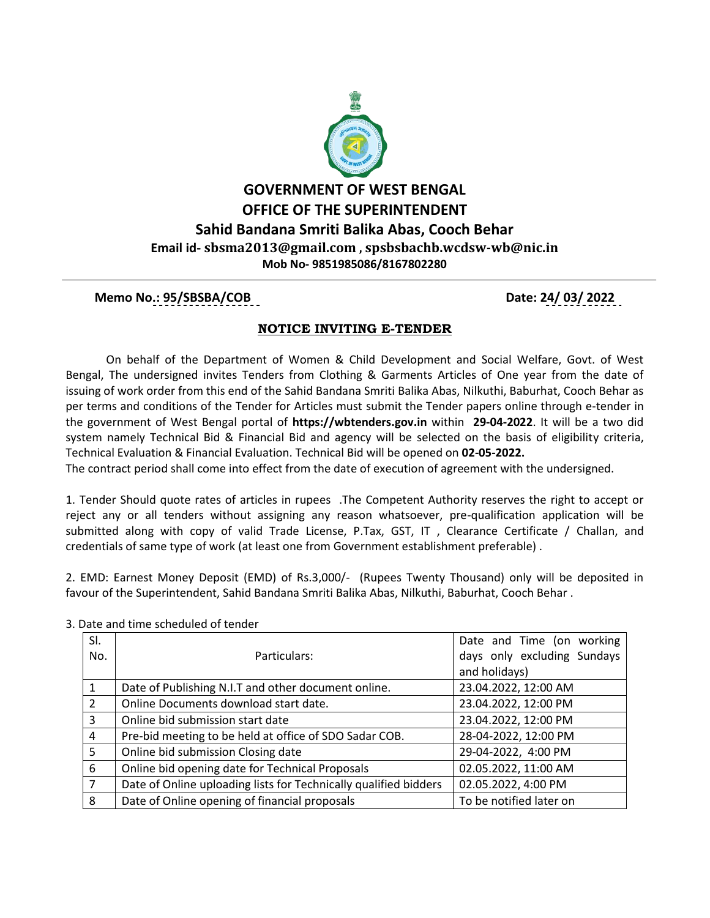

### **Memo No.: 95/SBSBA/COB Date: 24/ 03/ 2022**

### **NOTICE INVITING E-TENDER**

 On behalf of the Department of Women & Child Development and Social Welfare, Govt. of West Bengal, The undersigned invites Tenders from Clothing & Garments Articles of One year from the date of issuing of work order from this end of the Sahid Bandana Smriti Balika Abas, Nilkuthi, Baburhat, Cooch Behar as per terms and conditions of the Tender for Articles must submit the Tender papers online through e-tender in the government of West Bengal portal of **https://wbtenders.gov.in** within **29-04-2022**. It will be a two did system namely Technical Bid & Financial Bid and agency will be selected on the basis of eligibility criteria, Technical Evaluation & Financial Evaluation. Technical Bid will be opened on **02-05-2022.**

The contract period shall come into effect from the date of execution of agreement with the undersigned.

1. Tender Should quote rates of articles in rupees .The Competent Authority reserves the right to accept or reject any or all tenders without assigning any reason whatsoever, pre-qualification application will be submitted along with copy of valid Trade License, P.Tax, GST, IT , Clearance Certificate / Challan, and credentials of same type of work (at least one from Government establishment preferable) .

2. EMD: Earnest Money Deposit (EMD) of Rs.3,000/- (Rupees Twenty Thousand) only will be deposited in favour of the Superintendent, Sahid Bandana Smriti Balika Abas, Nilkuthi, Baburhat, Cooch Behar .

| SI.            |                                                                  | Date and Time (on working   |
|----------------|------------------------------------------------------------------|-----------------------------|
| No.            | Particulars:                                                     | days only excluding Sundays |
|                |                                                                  | and holidays)               |
| $\mathbf{1}$   | Date of Publishing N.I.T and other document online.              | 23.04.2022, 12:00 AM        |
| $\overline{2}$ | Online Documents download start date.                            | 23.04.2022, 12:00 PM        |
| 3              | Online bid submission start date                                 | 23.04.2022, 12:00 PM        |
| 4              | Pre-bid meeting to be held at office of SDO Sadar COB.           | 28-04-2022, 12:00 PM        |
| 5 <sup>1</sup> | Online bid submission Closing date                               | 29-04-2022, 4:00 PM         |
| 6              | Online bid opening date for Technical Proposals                  | 02.05.2022, 11:00 AM        |
| $\overline{7}$ | Date of Online uploading lists for Technically qualified bidders | 02.05.2022, 4:00 PM         |
| 8              | Date of Online opening of financial proposals                    | To be notified later on     |

3. Date and time scheduled of tender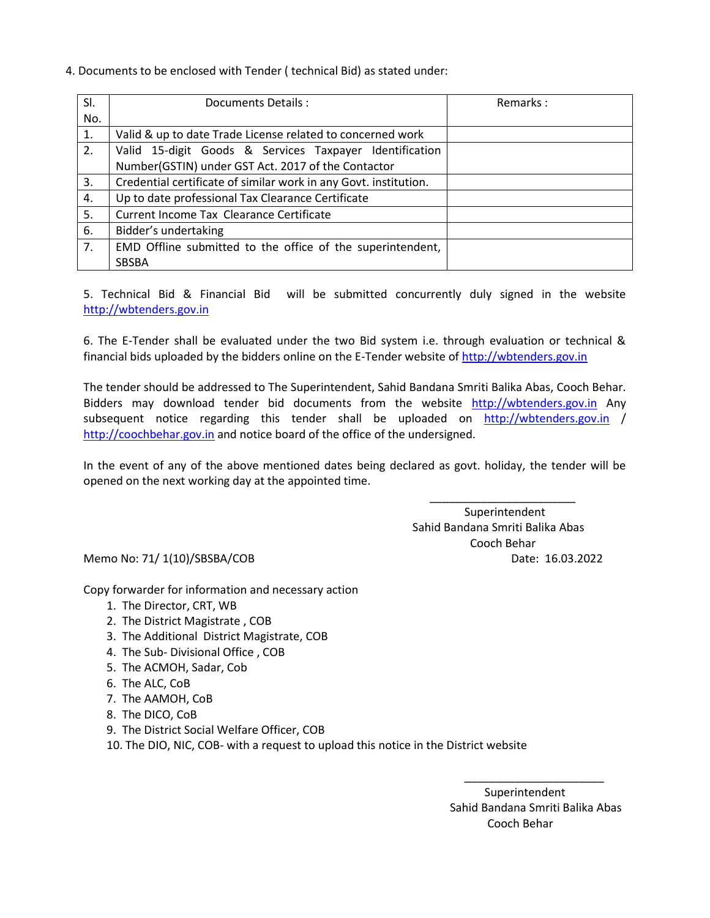4. Documents to be enclosed with Tender ( technical Bid) as stated under:

| SI. | Documents Details:                                               | Remarks: |
|-----|------------------------------------------------------------------|----------|
| No. |                                                                  |          |
| 1.  | Valid & up to date Trade License related to concerned work       |          |
| 2.  | Valid 15-digit Goods & Services Taxpayer Identification          |          |
|     | Number(GSTIN) under GST Act. 2017 of the Contactor               |          |
| 3.  | Credential certificate of similar work in any Govt. institution. |          |
| 4.  | Up to date professional Tax Clearance Certificate                |          |
| 5.  | Current Income Tax Clearance Certificate                         |          |
| 6.  | Bidder's undertaking                                             |          |
| 7.  | EMD Offline submitted to the office of the superintendent,       |          |
|     | SBSBA                                                            |          |

5. Technical Bid & Financial Bid will be submitted concurrently duly signed in the website [http://wbtenders.gov.in](http://wbtenders.gov.in/)

6. The E-Tender shall be evaluated under the two Bid system i.e. through evaluation or technical & financial bids uploaded by the bidders online on the E-Tender website o[f http://wbtenders.gov.in](http://wbtenders.gov.in/)

The tender should be addressed to The Superintendent, Sahid Bandana Smriti Balika Abas, Cooch Behar. Bidders may download tender bid documents from the website [http://wbtenders.gov.in](http://wbtenders.gov.in/) Any subsequent notice regarding this tender shall be uploaded on [http://wbtenders.gov.in](http://wbtenders.gov.in/) / [http://coochbehar.gov.in](http://coochbehar.gov.in/) and notice board of the office of the undersigned.

In the event of any of the above mentioned dates being declared as govt. holiday, the tender will be opened on the next working day at the appointed time.

 $\overline{\phantom{a}}$  , and the contract of the contract of the contract of the contract of the contract of the contract of the contract of the contract of the contract of the contract of the contract of the contract of the contrac Superintendent Sahid Bandana Smriti Balika Abas Cooch Behar Memo No: 71/ 1(10)/SBSBA/COB Date: 16.03.2022

Copy forwarder for information and necessary action

- 1. The Director, CRT, WB
- 2. The District Magistrate , COB
- 3. The Additional District Magistrate, COB
- 4. The Sub- Divisional Office , COB
- 5. The ACMOH, Sadar, Cob
- 6. The ALC, CoB
- 7. The AAMOH, CoB
- 8. The DICO, CoB
- 9. The District Social Welfare Officer, COB
- 10. The DIO, NIC, COB- with a request to upload this notice in the District website

 $\overline{\phantom{a}}$  , and the contract of the contract of the contract of the contract of the contract of the contract of the contract of the contract of the contract of the contract of the contract of the contract of the contrac

 Superintendent Sahid Bandana Smriti Balika Abas Cooch Behar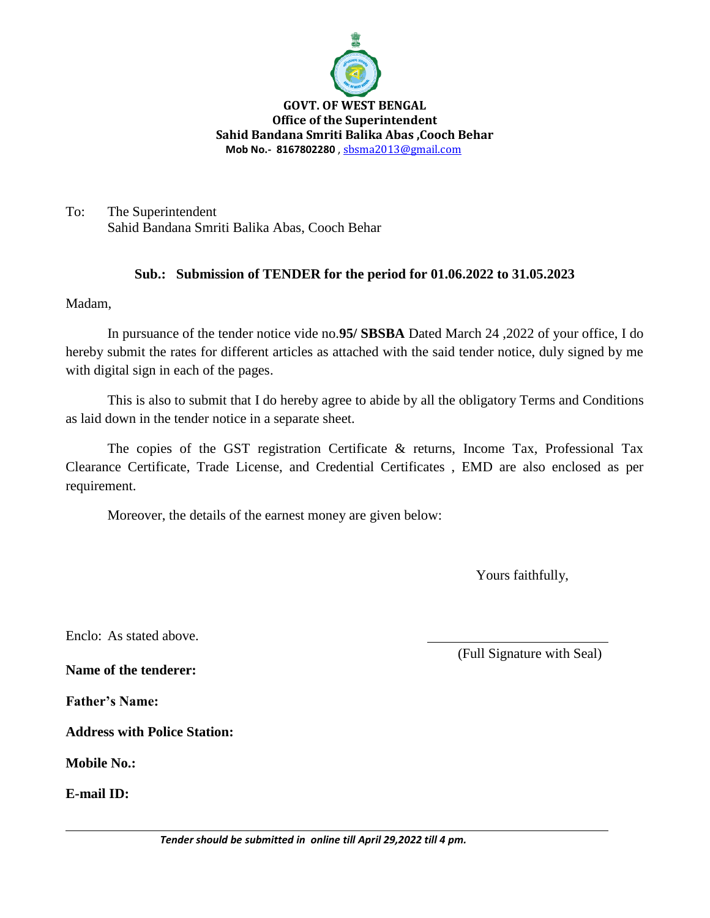

**GOVT. OF WEST BENGAL Office of the Superintendent Sahid Bandana Smriti Balika Abas ,Cooch Behar Mob No.- 8167802280** , [sbsma2013@gmail.com](mailto:sbsma2013@gmail.com)

To: The Superintendent Sahid Bandana Smriti Balika Abas, Cooch Behar

## **Sub.: Submission of TENDER for the period for 01.06.2022 to 31.05.2023**

Madam,

In pursuance of the tender notice vide no.**95/ SBSBA** Dated March 24 ,2022 of your office, I do hereby submit the rates for different articles as attached with the said tender notice, duly signed by me with digital sign in each of the pages.

This is also to submit that I do hereby agree to abide by all the obligatory Terms and Conditions as laid down in the tender notice in a separate sheet.

The copies of the GST registration Certificate & returns, Income Tax, Professional Tax Clearance Certificate, Trade License, and Credential Certificates , EMD are also enclosed as per requirement.

Moreover, the details of the earnest money are given below:

Yours faithfully,

Enclo: As stated above.

(Full Signature with Seal)

**Name of the tenderer:**

**Father's Name:**

**Address with Police Station:**

**Mobile No.:**

**E-mail ID:**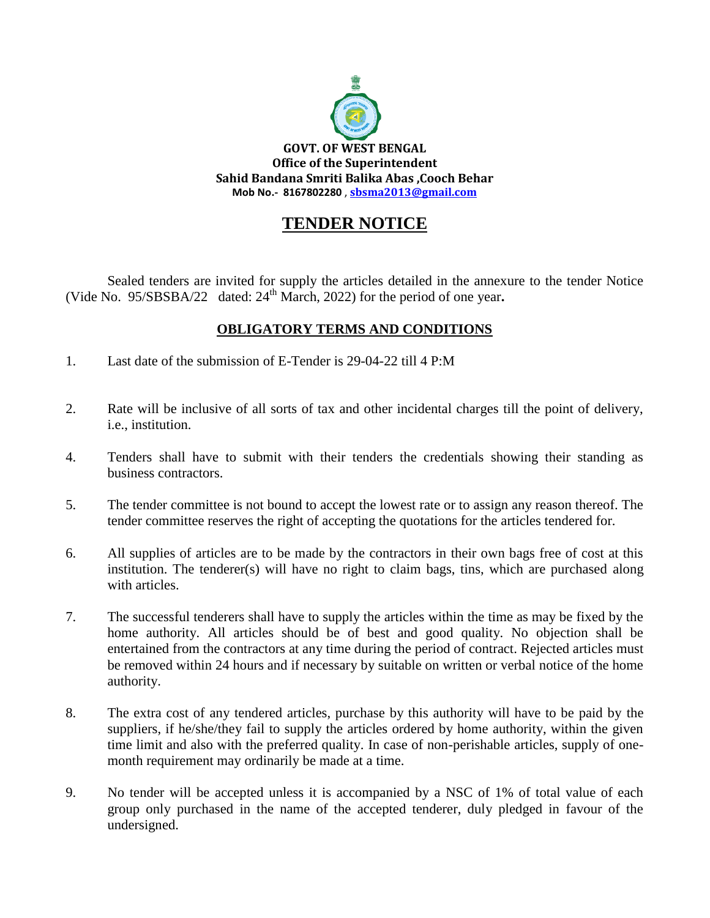

# **TENDER NOTICE**

Sealed tenders are invited for supply the articles detailed in the annexure to the tender Notice (Vide No.  $95/\text{SBSBA}/22$  dated:  $24^{\text{th}}$  March, 2022) for the period of one year.

## **OBLIGATORY TERMS AND CONDITIONS**

- 1. Last date of the submission of E-Tender is 29-04-22 till 4 P:M
- 2. Rate will be inclusive of all sorts of tax and other incidental charges till the point of delivery, i.e., institution.
- 4. Tenders shall have to submit with their tenders the credentials showing their standing as business contractors.
- 5. The tender committee is not bound to accept the lowest rate or to assign any reason thereof. The tender committee reserves the right of accepting the quotations for the articles tendered for.
- 6. All supplies of articles are to be made by the contractors in their own bags free of cost at this institution. The tenderer(s) will have no right to claim bags, tins, which are purchased along with articles.
- 7. The successful tenderers shall have to supply the articles within the time as may be fixed by the home authority. All articles should be of best and good quality. No objection shall be entertained from the contractors at any time during the period of contract. Rejected articles must be removed within 24 hours and if necessary by suitable on written or verbal notice of the home authority.
- 8. The extra cost of any tendered articles, purchase by this authority will have to be paid by the suppliers, if he/she/they fail to supply the articles ordered by home authority, within the given time limit and also with the preferred quality. In case of non-perishable articles, supply of onemonth requirement may ordinarily be made at a time.
- 9. No tender will be accepted unless it is accompanied by a NSC of 1% of total value of each group only purchased in the name of the accepted tenderer, duly pledged in favour of the undersigned.